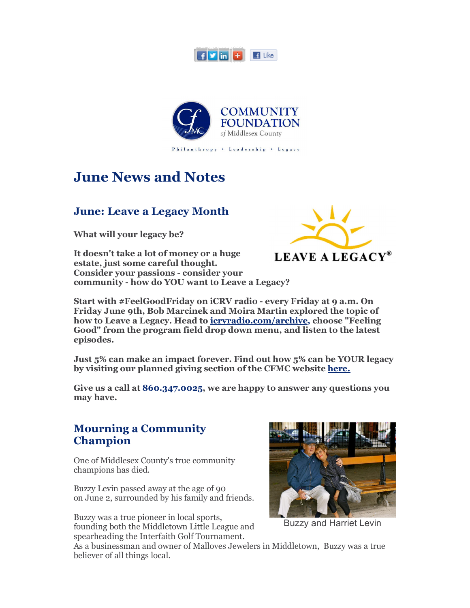



# **June News and Notes**

#### **June: Leave a Legacy Month**

**What will your legacy be?**

**It doesn't take a lot of money or a huge estate, just some careful thought. Consider your passions - consider your community - how do YOU want to Leave a Legacy?**



**Start with #FeelGoodFriday on iCRV radio - every Friday at 9 a.m. On Friday June 9th, Bob Marcinek and Moira Martin explored the topic of how to Leave a Legacy. Head to icrvradio.com/archive, choose "Feeling Good" from the program field drop down menu, and listen to the latest episodes.**

**Just 5% can make an impact forever. Find out how 5% can be YOUR legacy by visiting our planned giving section of the CFMC website here.**

**Give us a call at 860.347.0025, we are happy to answer any questions you may have.**

#### **Mourning a Community Champion**

One of Middlesex County's true community champions has died.

Buzzy Levin passed away at the age of 90 on June 2, surrounded by his family and friends.

Buzzy was a true pioneer in local sports, founding both the Middletown Little League and spearheading the Interfaith Golf Tournament.



Buzzy and Harriet Levin

As a businessman and owner of Malloves Jewelers in Middletown, Buzzy was a true believer of all things local.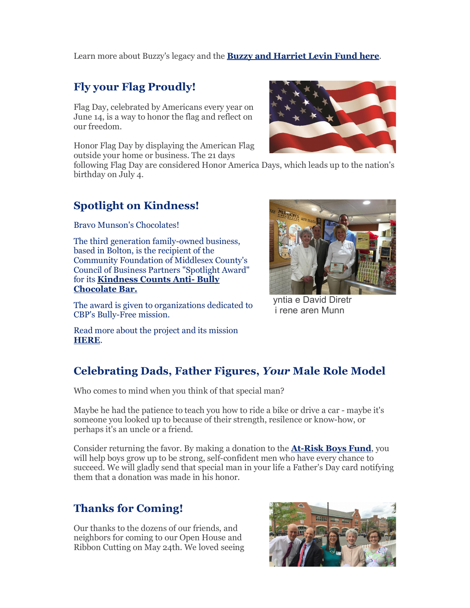Learn more about Buzzy's legacy and the **Buzzy and Harriet Levin Fund here**.

#### **Fly your Flag Proudly!**

Flag Day, celebrated by Americans every year on June 14, is a way to honor the flag and reflect on our freedom.

Honor Flag Day by displaying the American Flag outside your home or business. The 21 days

following Flag Day are considered Honor America Days, which leads up to the nation's birthday on July 4.

### **Spotlight on Kindness!**

Bravo Munson's Chocolates!

The third generation family-owned business, based in Bolton, is the recipient of the Community Foundation of Middlesex County's Council of Business Partners "Spotlight Award" for its **Kindness Counts Anti- Bully Chocolate Bar.**

The award is given to organizations dedicated to CBP's Bully-Free mission.

Read more about the project and its mission **HERE**.

## **Celebrating Dads, Father Figures,** *Your* **Male Role Model**

Who comes to mind when you think of that special man?

Maybe he had the patience to teach you how to ride a bike or drive a car - maybe it's someone you looked up to because of their strength, resilence or know-how, or perhaps it's an uncle or a friend.

Consider returning the favor. By making a donation to the **At-Risk Boys Fund**, you will help boys grow up to be strong, self-confident men who have every chance to succeed. We will gladly send that special man in your life a Father's Day card notifying them that a donation was made in his honor.

### **Thanks for Coming!**

Our thanks to the dozens of our friends, and neighbors for coming to our Open House and Ribbon Cutting on May 24th. We loved seeing





vntia e David Diretr *i* rene aren Munn